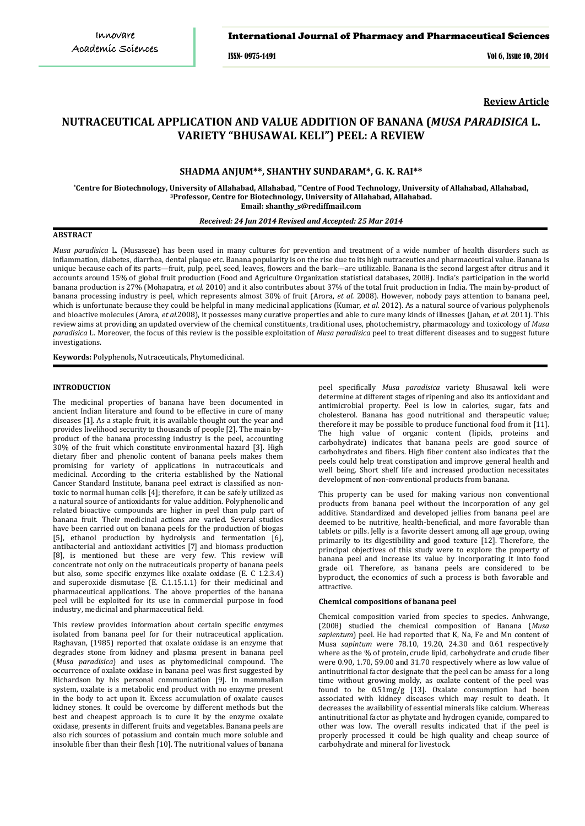## International Journal of Pharmacy and Pharmaceutical Sciences

ISSN- 0975-1491 Vol 6, Issue 10, 2014

**Review Article**

# **NUTRACEUTICAL APPLICATION AND VALUE ADDITION OF BANANA (***MUSA PARADISICA* **L. VARIETY "BHUSAWAL KELI") PEEL: A REVIEW**

## **SHADMA ANJUM\*\*, SHANTHY SUNDARAM\*, G. K. RAI\*\***

**\*Centre for Biotechnology, University of Allahabad, Allahabad, \*\*Centre of Food Technology, University of Allahabad, Allahabad, 3 Professor, Centre for Biotechnology, University of Allahabad, Allahabad. Email: shanthy\_s@rediffmail.com**

## *Received: 24 Jun 2014 Revised and Accepted: 25 Mar 2014*

## **ABSTRACT**

*Musa paradisica* L. (Musaseae) has been used in many cultures for prevention and treatment of a wide number of health disorders such as inflammation, diabetes, diarrhea, dental plaque etc. Banana popularity is on the rise due to its high nutraceutics and pharmaceutical value. Banana is unique because each of its parts—fruit, pulp, peel, seed, leaves, flowers and the bark—are utilizable. Banana is the second largest after citrus and it accounts around 15% of global fruit production (Food and Agriculture Organization statistical databases, 2008). India's participation in the world banana production is 27% (Mohapatra, *et al.* 2010) and it also contributes about 37% of the total fruit production in India. The main by-product of banana processing industry is peel, which represents almost 30% of fruit (Arora, *et al.* 2008). However, nobody pays attention to banana peel, which is unfortunate because they could be helpful in many medicinal applications (Kumar*, et al.* 2012). As a natural source of various polyphenols and bioactive molecules (Arora*, et al.*2008), it possesses many curative properties and able to cure many kinds of illnesses (Jahan, *et al.* 2011). This review aims at providing an updated overview of the chemical constituents, traditional uses, photochemistry, pharmacology and toxicology of *Musa paradisica* L. Moreover, the focus of this review is the possible exploitation of *Musa paradisica* peel to treat different diseases and to suggest future investigations.

**Keywords:** Polyphenols**,** Nutraceuticals, Phytomedicinal.

#### **INTRODUCTION**

The medicinal properties of banana have been documented in ancient Indian literature and found to be effective in cure of many diseases [1]. As a staple fruit, it is available thought out the year and provides livelihood security to thousands of people [2]. The main byproduct of the banana processing industry is the peel, accounting 30% of the fruit which constitute environmental hazard [3]. High dietary fiber and phenolic content of banana peels makes them promising for variety of applications in nutraceuticals and medicinal. According to the criteria established by the National Cancer Standard Institute, banana peel extract is classified as nontoxic to normal human cells [4]; therefore, it can be safely utilized as a natural source of antioxidants for value addition. Polyphenolic and related bioactive compounds are higher in peel than pulp part of banana fruit. Their medicinal actions are varied. Several studies have been carried out on banana peels for the production of biogas [5], ethanol production by hydrolysis and fermentation [6], antibacterial and antioxidant activities [7] and biomass production [8], is mentioned but these are very few. This review will concentrate not only on the nutraceuticals property of banana peels but also, some specific enzymes like oxalate oxidase (E. C 1.2.3.4) and superoxide dismutase (E. C.1.15.1.1) for their medicinal and pharmaceutical applications. The above properties of the banana peel will be exploited for its use in commercial purpose in food industry, medicinal and pharmaceutical field.

This review provides information about certain specific enzymes isolated from banana peel for for their nutraceutical application. Raghavan, (1985) reported that oxalate oxidase is an enzyme that degrades stone from kidney and plasma present in banana peel (*Musa paradisica*) and uses as phytomedicinal compound. The occurrence of oxalate oxidase in banana peel was first suggested by Richardson by his personal communication [9]. In mammalian system, oxalate is a metabolic end product with no enzyme present in the body to act upon it. Excess accumulation of oxalate causes kidney stones. It could be overcome by different methods but the best and cheapest approach is to cure it by the enzyme oxalate oxidase, presents in different fruits and vegetables. Banana peels are also rich sources of potassium and contain much more soluble and insoluble fiber than their flesh [10]. The nutritional values of banana

peel specifically *Musa paradisica* variety Bhusawal keli were determine at different stages of ripening and also its antioxidant and antimicrobial property. Peel is low in calories, sugar, fats and cholesterol. Banana has good nutritional and therapeutic value; therefore it may be possible to produce functional food from it [11]. The high value of organic content (lipids, proteins and carbohydrate) indicates that banana peels are good source of carbohydrates and fibers. High fiber content also indicates that the peels could help treat constipation and improve general health and well being. Short shelf life and increased production necessitates development of non-conventional products from banana.

This property can be used for making various non conventional products from banana peel without the incorporation of any gel additive. Standardized and developed jellies from banana peel are deemed to be nutritive, health-beneficial, and more favorable than tablets or pills. Jelly is a favorite dessert among all age group, owing primarily to its digestibility and good texture [12]. Therefore, the principal objectives of this study were to explore the property of banana peel and increase its value by incorporating it into food grade oil. Therefore, as banana peels are considered to be byproduct, the economics of such a process is both favorable and attractive.

#### **Chemical compositions of banana peel**

Chemical composition varied from species to species. Anhwange, (2008) studied the chemical composition of Banana (*Musa sapientum*) peel. He had reported that K, Na, Fe and Mn content of Musa *sapintum* were 78.10, 19.20, 24.30 and 0.61 respectively where as the % of protein, crude lipid, carbohydrate and crude fiber were 0.90, 1.70, 59.00 and 31.70 respectively where as low value of antinutritional factor designate that the peel can be amass for a long time without growing moldy, as oxalate content of the peel was found to be 0.51mg/g [13]. Oxalate consumption had been associated with kidney diseases which may result to death. It decreases the availability of essential minerals like calcium. Whereas antinutritional factor as phytate and hydrogen cyanide, compared to other was low. The overall results indicated that if the peel is properly processed it could be high quality and cheap source of carbohydrate and mineral for livestock.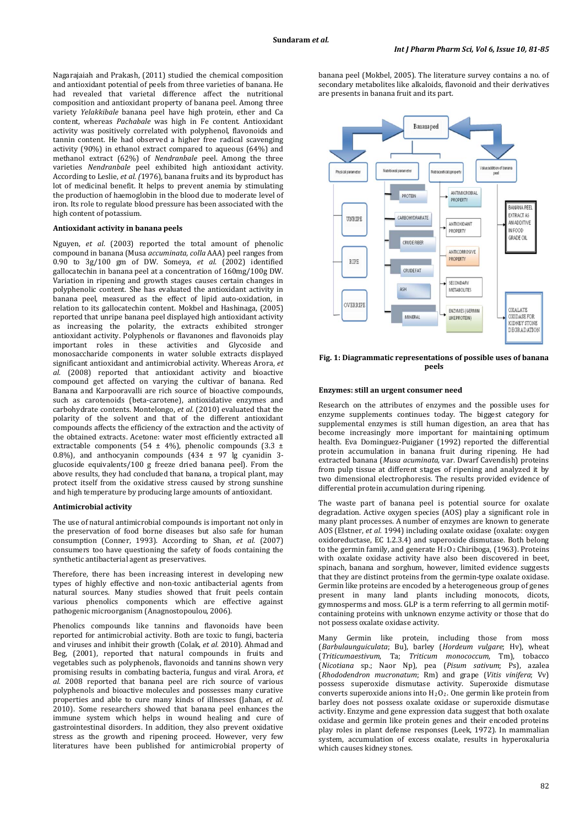Nagarajaiah and Prakash, (2011) studied the chemical composition and antioxidant potential of peels from three varieties of banana. He had revealed that varietal difference affect the nutritional composition and antioxidant property of banana peel. Among three variety *Yelakkibale* banana peel have high protein, ether and Ca content, whereas *Pachabale* was high in Fe content. Antioxidant activity was positively correlated with polyphenol, flavonoids and tannin content. He had observed a higher free radical scavenging activity (90%) in ethanol extract compared to aqueous (64%) and methanol extract (62%) of *Nendranbale* peel. Among the three varieties *Nendranbale* peel exhibited high antioxidant activity. According to Leslie, *et al. (*1976), banana fruits and its byproduct has lot of medicinal benefit. It helps to prevent anemia by stimulating the production of haemoglobin in the blood due to moderate level of iron. Its role to regulate blood pressure has been associated with the high content of potassium.

## **Antioxidant activity in banana peels**

Nguyen, *et al*. (2003) reported the total amount of phenolic compound in banana (Musa *accuminata, colla* AAA) peel ranges from 0.90 to 3g/100 gm of DW. Someya, *et al*. (2002) identified gallocatechin in banana peel at a concentration of 160mg/100g DW. Variation in ripening and growth stages causes certain changes in polyphenolic content. She has evaluated the antioxidant activity in banana peel, measured as the effect of lipid auto-oxidation, in relation to its gallocatechin content. Mokbel and Hashinaga, (2005) reported that unripe banana peel displayed high antioxidant activity as increasing the polarity, the extracts exhibited stronger antioxidant activity. Polyphenols or flavanones and flavonoids play important roles in these activities and Glycoside and monosaccharide components in water soluble extracts displayed significant antioxidant and antimicrobial activity. Whereas Arora, *et al.* (2008) reported that antioxidant activity and bioactive compound get affected on varying the cultivar of banana. Red Banana and Karpooravalli are rich source of bioactive compounds, such as carotenoids (beta-carotene), antioxidative enzymes and carbohydrate contents. Montelongo, *et al.* (2010) evaluated that the polarity of the solvent and that of the different antioxidant compounds affects the efficiency of the extraction and the activity of the obtained extracts. Acetone: water most efficiently extracted all extractable components (54 ± 4%), phenolic compounds (3.3 ± 0.8%), and anthocyanin compounds  $(434 \pm 97)$  lg cyanidin 3glucoside equivalents/100 g freeze dried banana peel). From the above results, they had concluded that banana, a tropical plant, may protect itself from the oxidative stress caused by strong sunshine and high temperature by producing large amounts of antioxidant.

## **Antimicrobial activity**

The use of natural antimicrobial compounds is important not only in the preservation of food borne diseases but also safe for human consumption (Conner, 1993). According to Shan, *et al*. (2007) consumers too have questioning the safety of foods containing the synthetic antibacterial agent as preservatives.

Therefore, there has been increasing interest in developing new types of highly effective and non-toxic antibacterial agents from natural sources. Many studies showed that fruit peels contain various phenolics components which are effective against pathogenic microorganism (Anagnostopoulou, 2006).

Phenolics compounds like tannins and flavonoids have been reported for antimicrobial activity. Both are toxic to fungi, bacteria and viruses and inhibit their growth (Colak, *et al.* 2010). Ahmad and Beg, (2001), reported that natural compounds in fruits and vegetables such as polyphenols, flavonoids and tannins shown very promising results in combating bacteria, fungus and viral. Arora, *et al.* 2008 reported that banana peel are rich source of various polyphenols and bioactive molecules and possesses many curative properties and able to cure many kinds of illnesses (Jahan, *et al.* 2010). Some researchers showed that banana peel enhances the immune system which helps in wound healing and cure of gastrointestinal disorders. In addition, they also prevent oxidative stress as the growth and ripening proceed. However, very few literatures have been published for antimicrobial property of banana peel (Mokbel, 2005). The literature survey contains a no. of secondary metabolites like alkaloids, flavonoid and their derivatives are presents in banana fruit and its part.



**Fig. 1: Diagrammatic representations of possible uses of banana peels**

#### **Enzymes: still an urgent consumer need**

Research on the attributes of enzymes and the possible uses for enzyme supplements continues today. The biggest category for supplemental enzymes is still human digestion, an area that has become increasingly more important for maintaining optimum health. Eva Dominguez-Puigjaner (1992) reported the differential protein accumulation in banana fruit during ripening. He had extracted banana (*Musa acuminata,* var. Dwarf Cavendish) proteins from pulp tissue at different stages of ripening and analyzed it by two dimensional electrophoresis. The results provided evidence of differential protein accumulation during ripening.

The waste part of banana peel is potential source for oxalate degradation. Active oxygen species (AOS) play a significant role in many plant processes. A number of enzymes are known to generate AOS (Elstner, *et al.* 1994) including oxalate oxidase (oxalate: oxygen oxidoreductase, EC 1.2.3.4) and superoxide dismutase. Both belong to the germin family, and generate  $H_2O_2$  Chiriboga, (1963). Proteins with oxalate oxidase activity have also been discovered in beet, spinach, banana and sorghum, however, limited evidence suggests that they are distinct proteins from the germin-type oxalate oxidase. Germin like proteins are encoded by a heterogeneous group of genes present in many land plants including monocots, dicots, gymnosperms and moss. GLP is a term referring to all germin motifcontaining proteins with unknown enzyme activity or those that do not possess oxalate oxidase activity.

Many Germin like protein, including those from moss (*Barbulaunguiculata*; Bu), barley (*Hordeum vulgare*; Hv), wheat (*Triticumaestivum*, Ta; *Triticum monococcum*, Tm), tobacco (*Nicotiana* sp.; Naor Np), pea (*Pisum sativum*; Ps), azalea (*Rhododendron mucronatum*; Rm) and grape (*Vitis vinifera*; Vv) possess superoxide dismutase activity. Superoxide dismutase converts superoxide anions into H 2O2. One germin like protein from barley does not possess oxalate oxidase or superoxide dismutase activity. Enzyme and gene expression data suggest that both oxalate oxidase and germin like protein genes and their encoded proteins play roles in plant defense responses (Leek, 1972). In mammalian system, accumulation of excess oxalate, results in hyperoxaluria which causes kidney stones.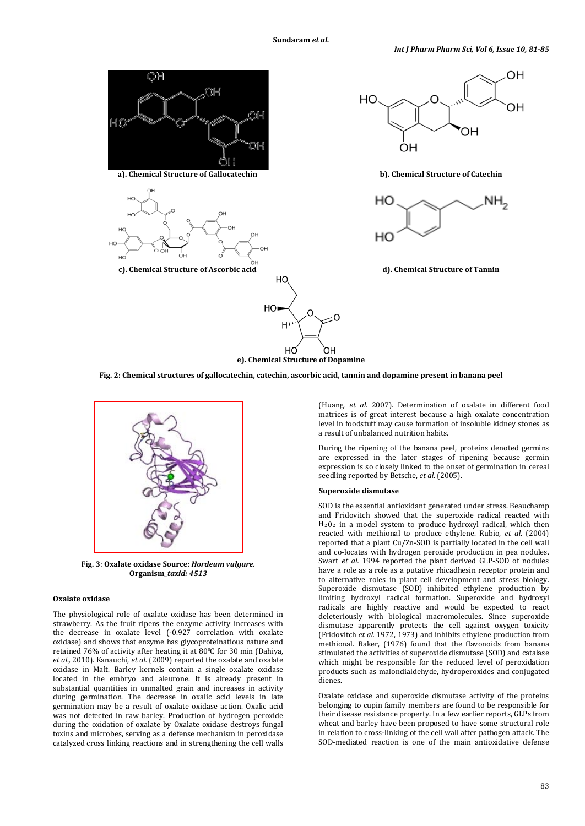

**Fig. 2: Chemical structures of gallocatechin, catechin, ascorbic acid, tannin and dopamine present in banana peel**



**Fig. 3**: **Oxalate oxidase Source:** *Hordeum vulgare.*  **Organism***\_taxid: 4513*

#### **Oxalate oxidase**

The physiological role of oxalate oxidase has been determined in strawberry. As the fruit ripens the enzyme activity increases with the decrease in oxalate level (-0.927 correlation with oxalate oxidase) and shows that enzyme has glycoproteinatious nature and retained 76% of activity after heating it at 80°C for 30 min (Dahiya, *et al.,* 2010). Kanauchi, *et al.* (2009) reported the oxalate and oxalate oxidase in Malt. Barley kernels contain a single oxalate oxidase located in the embryo and aleurone. It is already present in substantial quantities in unmalted grain and increases in activity during germination. The decrease in oxalic acid levels in late germination may be a result of oxalate oxidase action. Oxalic acid was not detected in raw barley. Production of hydrogen peroxide during the oxidation of oxalate by Oxalate oxidase destroys fungal toxins and microbes, serving as a defense mechanism in peroxidase catalyzed cross linking reactions and in strengthening the cell walls

(Huang, *et al.* 2007). Determination of oxalate in different food matrices is of great interest because a high oxalate concentration level in foodstuff may cause formation of insoluble kidney stones as a result of unbalanced nutrition habits.

During the ripening of the banana peel, proteins denoted germins are expressed in the later stages of ripening because germin expression is so closely linked to the onset of germination in cereal seedling reported by Betsche, *et al*. (2005).

## **Superoxide dismutase**

SOD is the essential antioxidant generated under stress. Beauchamp and Fridovitch showed that the superoxide radical reacted with  $H<sub>2</sub>0<sub>2</sub>$  in a model system to produce hydroxyl radical, which then reacted with methional to produce ethylene. Rubio, *et al*. (2004) reported that a plant Cu/Zn-SOD is partially located in the cell wall and co-locates with hydrogen peroxide production in pea nodules. Swart *et al.* 1994 reported the plant derived GLP-SOD of nodules have a role as a role as a putative rhicadhesin receptor protein and to alternative roles in plant cell development and stress biology. Superoxide dismutase (SOD) inhibited ethylene production by limiting hydroxyl radical formation. Superoxide and hydroxyl radicals are highly reactive and would be expected to react deleteriously with biological macromolecules. Since superoxide dismutase apparently protects the cell against oxygen toxicity (Fridovitch *et al.* 1972, 1973) and inhibits ethylene production from methional. Baker, (1976) found that the flavonoids from banana stimulated the activities of superoxide dismutase (SOD) and catalase which might be responsible for the reduced level of peroxidation products such as malondialdehyde, hydroperoxides and conjugated dienes.

Oxalate oxidase and superoxide dismutase activity of the proteins belonging to cupin family members are found to be responsible for their disease resistance property. In a few earlier reports, GLPs from wheat and barley have been proposed to have some structural role in relation to cross-linking of the cell wall after pathogen attack. The SOD-mediated reaction is one of the main antioxidative defense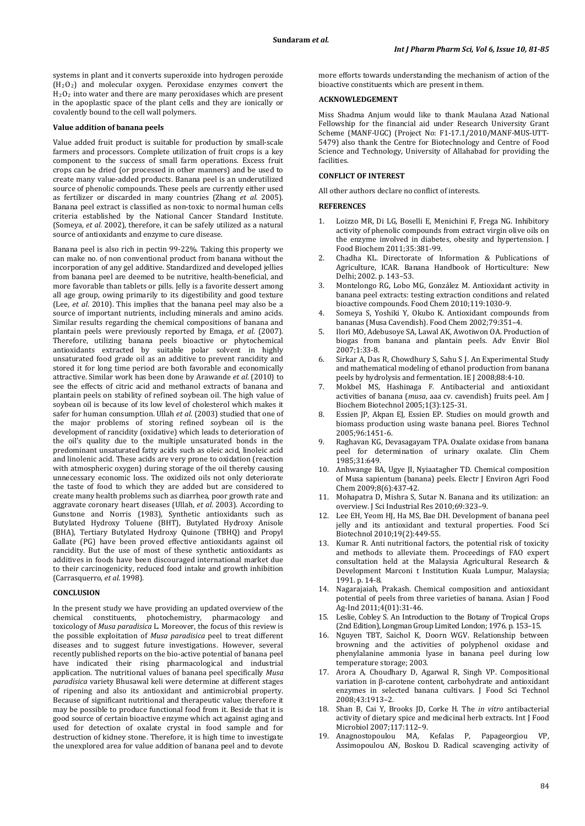systems in plant and it converts superoxide into hydrogen peroxide (H2O2) and molecular oxygen. Peroxidase enzymes convert the H2O2 into water and there are many peroxidases which are present in the apoplastic space of the plant cells and they are ionically or covalently bound to the cell wall polymers.

#### **Value addition of banana peels**

Value added fruit product is suitable for production by small-scale farmers and processors. Complete utilization of fruit crops is a key component to the success of small farm operations. Excess fruit crops can be dried (or processed in other manners) and be used to create many value-added products. Banana peel is an underutilized source of phenolic compounds. These peels are currently either used as fertilizer or discarded in many countries (Zhang *et al.* 2005). Banana peel extract is classified as non-toxic to normal human cells criteria established by the National Cancer Standard Institute. (Someya, *et al.* 2002), therefore, it can be safely utilized as a natural source of antioxidants and enzyme to cure disease.

Banana peel is also rich in pectin 99-22%. Taking this property we can make no. of non conventional product from banana without the incorporation of any gel additive. Standardized and developed jellies from banana peel are deemed to be nutritive, health-beneficial, and more favorable than tablets or pills. Jelly is a favorite dessert among all age group, owing primarily to its digestibility and good texture (Lee, *et al*. 2010). This implies that the banana peel may also be a source of important nutrients, including minerals and amino acids. Similar results regarding the chemical compositions of banana and plantain peels were previously reported by Emaga, *et al*. (2007). Therefore, utilizing banana peels bioactive or phytochemical antioxidants extracted by suitable polar solvent in highly unsaturated food grade oil as an additive to prevent rancidity and stored it for long time period are both favorable and economically attractive. Similar work has been done by Arawande *et al.* (2010) to see the effects of citric acid and methanol extracts of banana and plantain peels on stability of refined soybean oil. The high value of soybean oil is because of its low level of cholesterol which makes it safer for human consumption. Ullah *et al*. (2003) studied that one of the major problems of storing refined soybean oil is the development of rancidity (oxidative) which leads to deterioration of the oil's quality due to the multiple unsaturated bonds in the predominant unsaturated fatty acids such as oleic acid, linoleic acid and linolenic acid. These acids are very prone to oxidation (reaction with atmospheric oxygen) during storage of the oil thereby causing unnecessary economic loss. The oxidized oils not only deteriorate the taste of food to which they are added but are considered to create many health problems such as diarrhea, poor growth rate and aggravate coronary heart diseases (Ullah, *et al*. 2003). According to Gunstone and Norris (1983), Synthetic antioxidants such as Butylated Hydroxy Toluene (BHT), Butylated Hydroxy Anisole (BHA), Tertiary Butylated Hydroxy Quinone (TBHQ) and Propyl Gallate (PG) have been proved effective antioxidants against oil rancidity. But the use of most of these synthetic antioxidants as additives in foods have been discouraged international market due to their carcinogenicity, reduced food intake and growth inhibition (Carrasquerro, *et al*. 1998).

#### **CONCLUSION**

In the present study we have providing an updated overview of the chemical constituents, photochemistry, pharmacology and toxicology of *Musa paradisica* L. Moreover, the focus of this review is the possible exploitation of *Musa paradisica* peel to treat different diseases and to suggest future investigations. However, several recently published reports on the bio-active potential of banana peel have indicated their rising pharmacological and industrial application. The nutritional values of banana peel specifically *Musa paradisica* variety Bhusawal keli were determine at different stages of ripening and also its antioxidant and antimicrobial property. Because of significant nutritional and therapeutic value; therefore it may be possible to produce functional food from it. Beside that it is good source of certain bioactive enzyme which act against aging and used for detection of oxalate crystal in food sample and for destruction of kidney stone. Therefore, it is high time to investigate the unexplored area for value addition of banana peel and to devote more efforts towards understanding the mechanism of action of the bioactive constituents which are present in them.

## **ACKNOWLEDGEMENT**

Miss Shadma Anjum would like to thank Maulana Azad National Fellowship for the financial aid under Research University Grant Scheme (MANF-UGC) (Project No: F1-17.1/2010/MANF-MUS-UTT-5479) also thank the Centre for Biotechnology and Centre of Food Science and Technology, University of Allahabad for providing the facilities.

## **CONFLICT OF INTEREST**

All other authors declare no conflict of interests.

#### **REFERENCES**

- 1. Loizzo MR, Di LG, Boselli E, Menichini F, Frega NG. Inhibitory activity of phenolic compounds from extract virgin olive oils on the enzyme involved in diabetes, obesity and hypertension. J Food Biochem 2011;35:381-99.
- 2. Chadha KL. Directorate of Information & Publications of Agriculture, ICAR. Banana Handbook of Horticulture: New Delhi; 2002. p. 143–53.
- 3. Montelongo RG, Lobo MG, González M. Antioxidant activity in banana peel extracts: testing extraction conditions and related bioactive compounds. Food Chem 2010;119:1030-9.
- 4. Someya S, Yoshiki Y, Okubo K. Antioxidant compounds from bananas (Musa Cavendish). Food Chem 2002;79:351–4.
- 5. Ilori MO, Adebusoye SA, Lawal AK, Awotiwon OA. Production of biogas from banana and plantain peels. Adv Envir Biol 2007;1:33-8.
- 6. Sirkar A, Das R, Chowdhury S, Sahu S J. An Experimental Study and mathematical modeling of ethanol production from banana peels by hydrolysis and fermentation. IE J 2008;88:4-10.
- 7. Mokbel MS, Hashinaga F. Antibacterial and antioxidant activities of banana (*musa*, aaa cv*.* cavendish) fruits peel. Am J Biochem Biotechnol 2005;1(3):125-31.
- 8. Essien JP, Akpan EJ, Essien EP. Studies on mould growth and biomass production using waste banana peel. Biores Technol 2005;96:1451-6.
- 9. Raghavan KG, Devasagayam TPA. Oxalate oxidase from banana peel for determination of urinary oxalate. Clin Chem 1985;31:649.
- 10. Anhwange BA, Ugye JI, Nyiaatagher TD. Chemical composition of Musa sapientum (banana) peels. Electr J Environ Agri Food Chem 2009;8(6):437-42.
- 11. Mohapatra D, Mishra S, Sutar N. Banana and its utilization: an overview. J Sci Industrial Res 2010;69:323–9.
- 12. Lee EH, Yeom HJ, Ha MS, Bae DH. Development of banana peel jelly and its antioxidant and textural properties. Food Sci Biotechnol 2010;19(2):449-55.
- 13. Kumar R. Anti nutritional factors, the potential risk of toxicity and methods to alleviate them. Proceedings of FAO expert consultation held at the Malaysia Agricultural Research & Development Marconi t Institution Kuala Lumpur, Malaysia; 1991. p. 14-8.
- 14. Nagarajaiah, Prakash. Chemical composition and antioxidant potential of peels from three varieties of banana. Asian J Food Ag-Ind 2011;4(01):31-46.
- 15. Leslie, Cobley S. An Introduction to the Botany of Tropical Crops (2nd Edition), Longman Group Limited London; 1976. p. 153–15.
- 16. Nguyen TBT*,* Saichol K, Doorn WGV. Relationship between browning and the activities of polyphenol oxidase and phenylalanine ammonia lyase in banana peel during low temperature storage; 2003.
- 17. Arora A, Choudhary D, Agarwal R, Singh VP. Compositional variation in β-carotene content, carbohydrate and antioxidant enzymes in selected banana cultivars. J Food Sci Technol 2008;43:1913–2.
- 18. Shan B, Cai Y, Brooks JD, Corke H. The *in vitro* antibacterial activity of dietary spice and medicinal herb extracts. Int J Food Microbiol 2007;117:112–9.
- 19. Anagnostopoulou MA, Kefalas P, Papageorgiou VP, Assimopoulou AN, Boskou D. Radical scavenging activity of